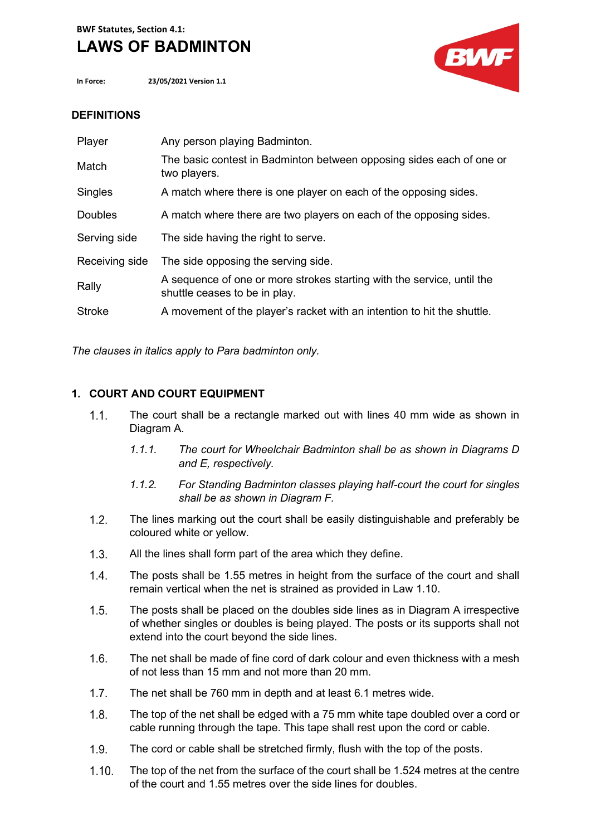# **LAWS OF BADMINTON**

**In Force: 23/05/2021 Version 1.1**



# **DEFINITIONS**

| Player         | Any person playing Badminton.                                                                           |
|----------------|---------------------------------------------------------------------------------------------------------|
| Match          | The basic contest in Badminton between opposing sides each of one or<br>two players.                    |
| Singles        | A match where there is one player on each of the opposing sides.                                        |
| <b>Doubles</b> | A match where there are two players on each of the opposing sides.                                      |
| Serving side   | The side having the right to serve.                                                                     |
| Receiving side | The side opposing the serving side.                                                                     |
| Rally          | A sequence of one or more strokes starting with the service, until the<br>shuttle ceases to be in play. |
| <b>Stroke</b>  | A movement of the player's racket with an intention to hit the shuttle.                                 |

*The clauses in italics apply to Para badminton only.*

# **1. COURT AND COURT EQUIPMENT**

- $1.1.$ The court shall be a rectangle marked out with lines 40 mm wide as shown in Diagram A.
	- *1.1.1. The court for Wheelchair Badminton shall be as shown in Diagrams D and E, respectively.*
	- *1.1.2. For Standing Badminton classes playing half-court the court for singles shall be as shown in Diagram F.*
- $1.2.$ The lines marking out the court shall be easily distinguishable and preferably be coloured white or yellow.
- All the lines shall form part of the area which they define.  $1.3.$
- $1.4.$ The posts shall be 1.55 metres in height from the surface of the court and shall remain vertical when the net is strained as provided in Law 1.10.
- $1.5.$ The posts shall be placed on the doubles side lines as in Diagram A irrespective of whether singles or doubles is being played. The posts or its supports shall not extend into the court beyond the side lines.
- $1.6.$ The net shall be made of fine cord of dark colour and even thickness with a mesh of not less than 15 mm and not more than 20 mm.
- $1.7.$ The net shall be 760 mm in depth and at least 6.1 metres wide.
- $1.8.$ The top of the net shall be edged with a 75 mm white tape doubled over a cord or cable running through the tape. This tape shall rest upon the cord or cable.
- $1.9.$ The cord or cable shall be stretched firmly, flush with the top of the posts.
- $1.10.$ The top of the net from the surface of the court shall be 1.524 metres at the centre of the court and 1.55 metres over the side lines for doubles.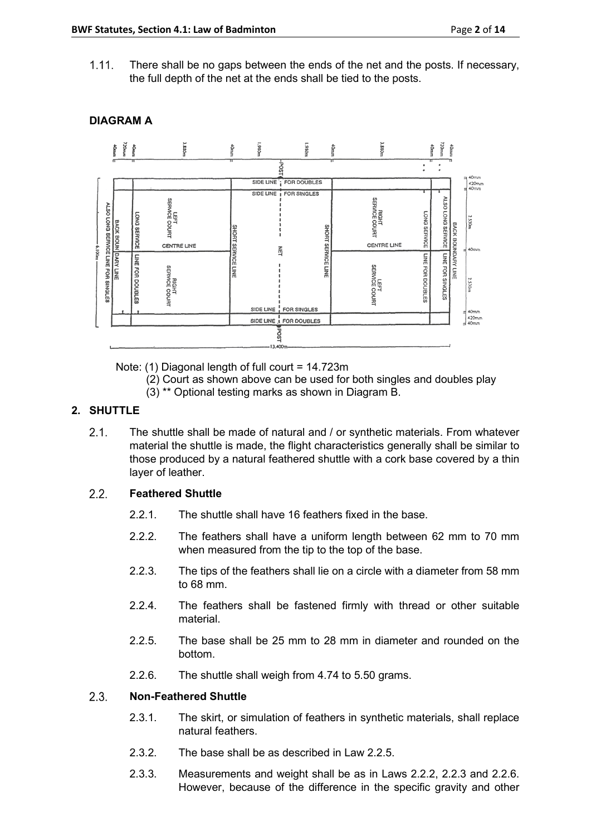There shall be no gaps between the ends of the net and the posts. If necessary,  $1.11.$ the full depth of the net at the ends shall be tied to the posts.



# **DIAGRAM A**

Note: (1) Diagonal length of full court = 14.723m

- (2) Court as shown above can be used for both singles and doubles play
- (3) \*\* Optional testing marks as shown in Diagram B.

# **2. SHUTTLE**

 $2.1.$ The shuttle shall be made of natural and / or synthetic materials. From whatever material the shuttle is made, the flight characteristics generally shall be similar to those produced by a natural feathered shuttle with a cork base covered by a thin layer of leather.

#### $2.2.$ **Feathered Shuttle**

- 2.2.1. The shuttle shall have 16 feathers fixed in the base.
- 2.2.2. The feathers shall have a uniform length between 62 mm to 70 mm when measured from the tip to the top of the base.
- 2.2.3. The tips of the feathers shall lie on a circle with a diameter from 58 mm to 68 mm.
- 2.2.4. The feathers shall be fastened firmly with thread or other suitable material.
- 2.2.5. The base shall be 25 mm to 28 mm in diameter and rounded on the bottom.
- 2.2.6. The shuttle shall weigh from 4.74 to 5.50 grams.

#### $2.3.$ **Non-Feathered Shuttle**

- 2.3.1. The skirt, or simulation of feathers in synthetic materials, shall replace natural feathers.
- 2.3.2. The base shall be as described in Law 2.2.5.
- 2.3.3. Measurements and weight shall be as in Laws 2.2.2, 2.2.3 and 2.2.6. However, because of the difference in the specific gravity and other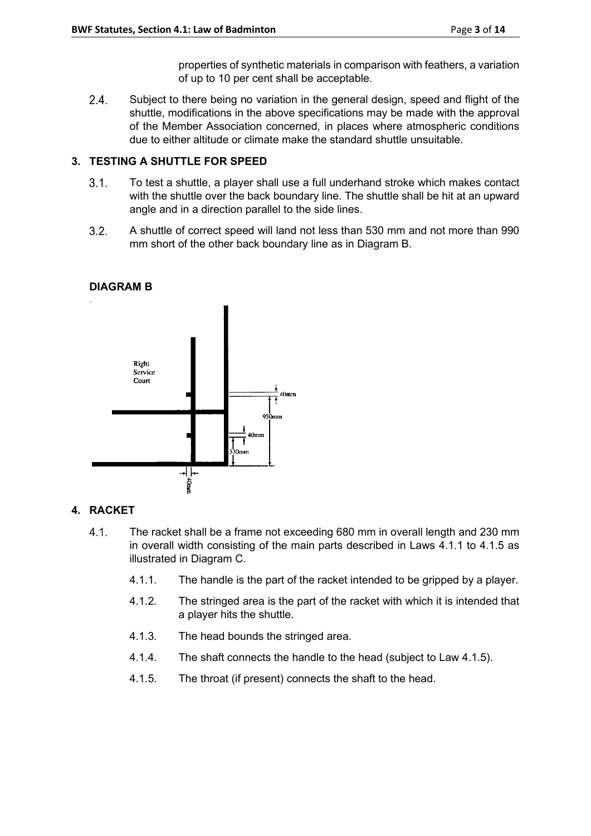properties of synthetic materials in comparison with feathers, a variation

 $2.4.$ Subject to there being no variation in the general design, speed and flight of the shuttle, modifications in the above specifications may be made with the approval of the Member Association concerned, in places where atmospheric conditions due to either altitude or climate make the standard shuttle unsuitable.

of up to 10 per cent shall be acceptable.

# **3. TESTING A SHUTTLE FOR SPEED**

- $3.1.$ To test a shuttle, a player shall use a full underhand stroke which makes contact with the shuttle over the back boundary line. The shuttle shall be hit at an upward angle and in a direction parallel to the side lines.
- $3.2.$ A shuttle of correct speed will land not less than 530 mm and not more than 990 mm short of the other back boundary line as in Diagram B.

# **DIAGRAM B**



# **4. RACKET**

- $4.1.$ The racket shall be a frame not exceeding 680 mm in overall length and 230 mm in overall width consisting of the main parts described in Laws 4.1.1 to 4.1.5 as illustrated in Diagram C.
	- 4.1.1. The handle is the part of the racket intended to be gripped by a player.
	- 4.1.2. The stringed area is the part of the racket with which it is intended that a player hits the shuttle.
	- 4.1.3. The head bounds the stringed area.
	- 4.1.4. The shaft connects the handle to the head (subject to Law 4.1.5).
	- 4.1.5. The throat (if present) connects the shaft to the head.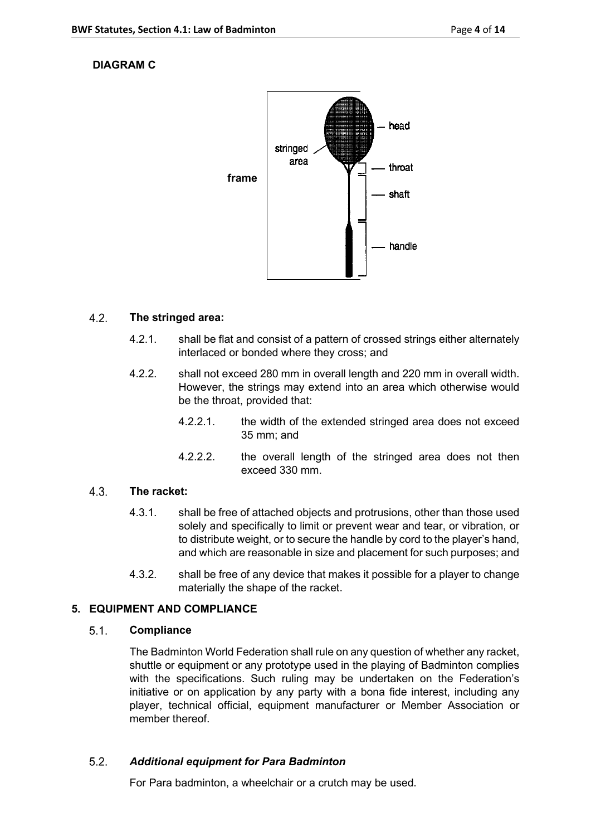# **DIAGRAM C**



#### $4.2.$ **The stringed area:**

- 4.2.1. shall be flat and consist of a pattern of crossed strings either alternately interlaced or bonded where they cross; and
- 4.2.2. shall not exceed 280 mm in overall length and 220 mm in overall width. However, the strings may extend into an area which otherwise would be the throat, provided that:
	- 4.2.2.1. the width of the extended stringed area does not exceed 35 mm; and
	- 4.2.2.2. the overall length of the stringed area does not then exceed 330 mm.

#### $4.3.$ **The racket:**

- 4.3.1. shall be free of attached objects and protrusions, other than those used solely and specifically to limit or prevent wear and tear, or vibration, or to distribute weight, or to secure the handle by cord to the player's hand, and which are reasonable in size and placement for such purposes; and
- 4.3.2. shall be free of any device that makes it possible for a player to change materially the shape of the racket.

# **5. EQUIPMENT AND COMPLIANCE**

#### $5.1.$ **Compliance**

The Badminton World Federation shall rule on any question of whether any racket, shuttle or equipment or any prototype used in the playing of Badminton complies with the specifications. Such ruling may be undertaken on the Federation's initiative or on application by any party with a bona fide interest, including any player, technical official, equipment manufacturer or Member Association or member thereof.

#### $5.2.$ *Additional equipment for Para Badminton*

For Para badminton, a wheelchair or a crutch may be used.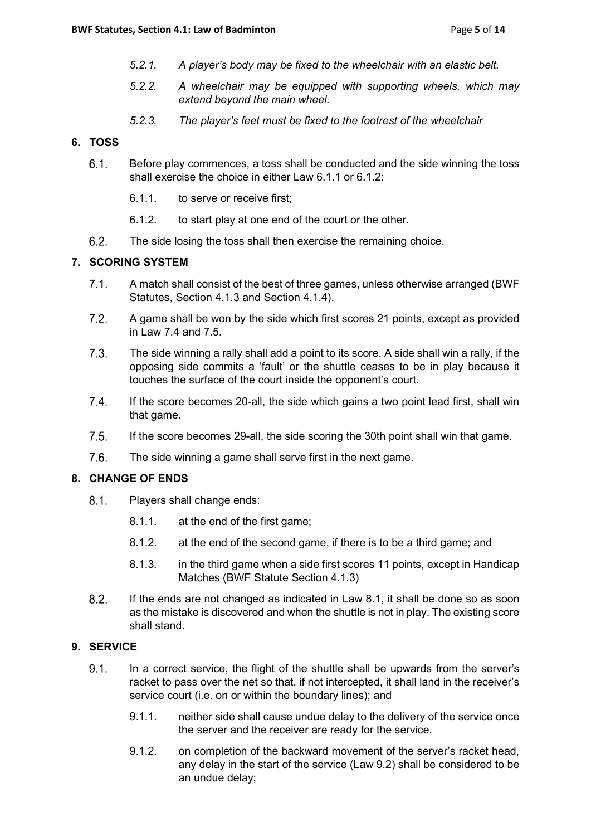- *5.2.1. A player's body may be fixed to the wheelchair with an elastic belt.*
- *5.2.2. A wheelchair may be equipped with supporting wheels, which may extend beyond the main wheel.*
- *5.2.3. The player's feet must be fixed to the footrest of the wheelchair*

### **6. TOSS**

- $6.1.$ Before play commences, a toss shall be conducted and the side winning the toss shall exercise the choice in either Law 6.1.1 or 6.1.2:
	- 6.1.1. to serve or receive first;
	- 6.1.2. to start play at one end of the court or the other.
- $6.2.$ The side losing the toss shall then exercise the remaining choice.

# **7. SCORING SYSTEM**

- $7.1.$ A match shall consist of the best of three games, unless otherwise arranged (BWF Statutes, Section 4.1.3 and Section 4.1.4).
- $7.2.$ A game shall be won by the side which first scores 21 points, except as provided in Law 7.4 and 7.5.
- $7.3.$ The side winning a rally shall add a point to its score. A side shall win a rally, if the opposing side commits a 'fault' or the shuttle ceases to be in play because it touches the surface of the court inside the opponent's court.
- $7.4.$ If the score becomes 20-all, the side which gains a two point lead first, shall win that game.
- $7.5.$ If the score becomes 29-all, the side scoring the 30th point shall win that game.
- $7.6.$ The side winning a game shall serve first in the next game.

# **8. CHANGE OF ENDS**

- $8.1.$ Players shall change ends:
	- 8.1.1. at the end of the first game;
	- 8.1.2. at the end of the second game, if there is to be a third game; and
	- 8.1.3. in the third game when a side first scores 11 points, except in Handicap Matches (BWF Statute Section 4.1.3)
- $8.2.$ If the ends are not changed as indicated in Law 8.1, it shall be done so as soon as the mistake is discovered and when the shuttle is not in play. The existing score shall stand.

# **9. SERVICE**

- $9.1.$ In a correct service, the flight of the shuttle shall be upwards from the server's racket to pass over the net so that, if not intercepted, it shall land in the receiver's service court (i.e. on or within the boundary lines); and
	- 9.1.1. neither side shall cause undue delay to the delivery of the service once the server and the receiver are ready for the service.
	- 9.1.2. on completion of the backward movement of the server's racket head, any delay in the start of the service (Law 9.2) shall be considered to be an undue delay;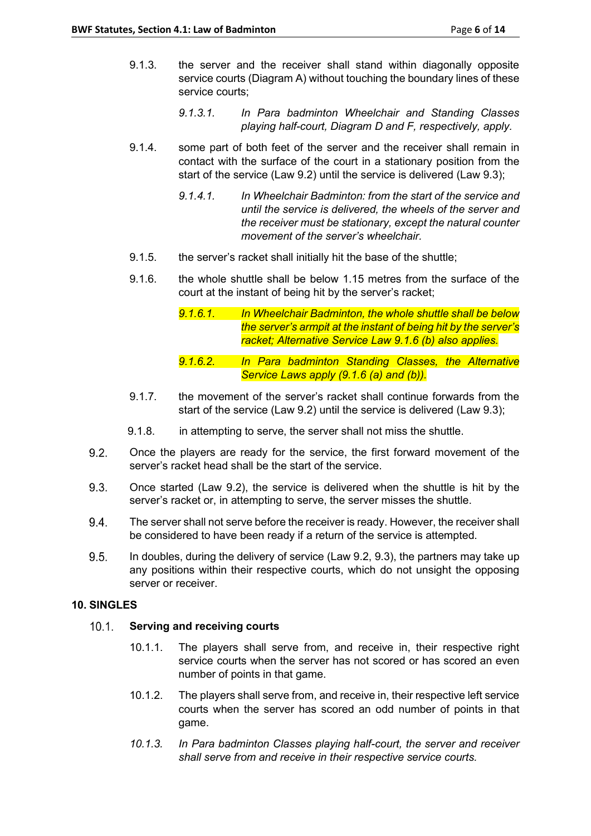- 9.1.3. the server and the receiver shall stand within diagonally opposite service courts (Diagram A) without touching the boundary lines of these service courts;
	- *9.1.3.1. In Para badminton Wheelchair and Standing Classes playing half-court, Diagram D and F, respectively, apply.*
- 9.1.4. some part of both feet of the server and the receiver shall remain in contact with the surface of the court in a stationary position from the start of the service (Law 9.2) until the service is delivered (Law 9.3);
	- *9.1.4.1. In Wheelchair Badminton: from the start of the service and until the service is delivered, the wheels of the server and the receiver must be stationary, except the natural counter movement of the server's wheelchair.*
- 9.1.5. the server's racket shall initially hit the base of the shuttle;
- 9.1.6. the whole shuttle shall be below 1.15 metres from the surface of the court at the instant of being hit by the server's racket;
	- *9.1.6.1. In Wheelchair Badminton, the whole shuttle shall be below the server's armpit at the instant of being hit by the server's racket; Alternative Service Law 9.1.6 (b) also applies.*
	- *9.1.6.2. In Para badminton Standing Classes, the Alternative Service Laws apply (9.1.6 (a) and (b)).*
- 9.1.7. the movement of the server's racket shall continue forwards from the start of the service (Law 9.2) until the service is delivered (Law 9.3);
- 9.1.8. in attempting to serve, the server shall not miss the shuttle.
- $9.2.$ Once the players are ready for the service, the first forward movement of the server's racket head shall be the start of the service.
- $9.3.$ Once started (Law 9.2), the service is delivered when the shuttle is hit by the server's racket or, in attempting to serve, the server misses the shuttle.
- 9.4. The server shall not serve before the receiver is ready. However, the receiver shall be considered to have been ready if a return of the service is attempted.
- 9.5. In doubles, during the delivery of service (Law 9.2, 9.3), the partners may take up any positions within their respective courts, which do not unsight the opposing server or receiver.

# **10. SINGLES**

#### $10.1.$ **Serving and receiving courts**

- 10.1.1. The players shall serve from, and receive in, their respective right service courts when the server has not scored or has scored an even number of points in that game.
- 10.1.2. The players shall serve from, and receive in, their respective left service courts when the server has scored an odd number of points in that game.
- *10.1.3. In Para badminton Classes playing half-court, the server and receiver shall serve from and receive in their respective service courts.*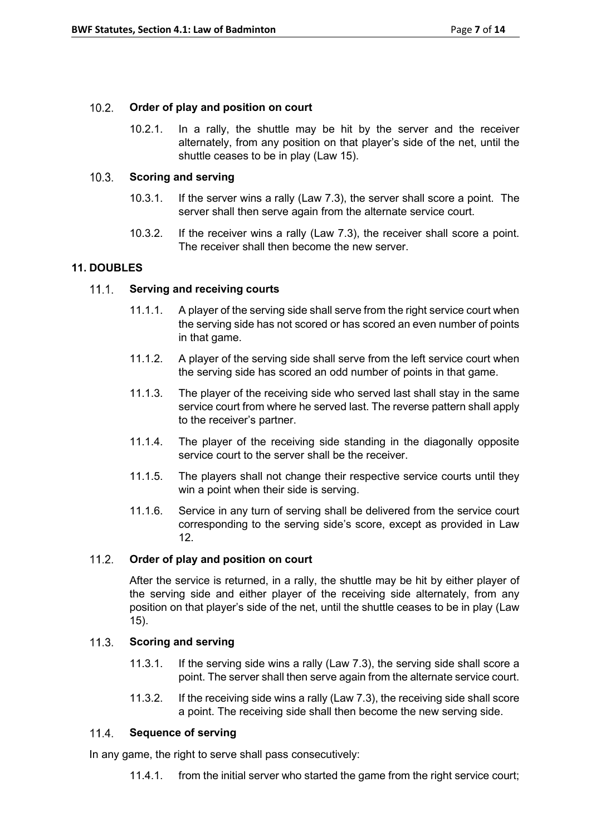#### $10.2.$ **Order of play and position on court**

10.2.1. In a rally, the shuttle may be hit by the server and the receiver alternately, from any position on that player's side of the net, until the shuttle ceases to be in play (Law 15).

#### $10.3.$ **Scoring and serving**

- 10.3.1. If the server wins a rally (Law 7.3), the server shall score a point. The server shall then serve again from the alternate service court.
- 10.3.2. If the receiver wins a rally (Law 7.3), the receiver shall score a point. The receiver shall then become the new server.

# **11. DOUBLES**

#### $11.1.$ **Serving and receiving courts**

- 11.1.1. A player of the serving side shall serve from the right service court when the serving side has not scored or has scored an even number of points in that game.
- 11.1.2. A player of the serving side shall serve from the left service court when the serving side has scored an odd number of points in that game.
- 11.1.3. The player of the receiving side who served last shall stay in the same service court from where he served last. The reverse pattern shall apply to the receiver's partner.
- 11.1.4. The player of the receiving side standing in the diagonally opposite service court to the server shall be the receiver.
- 11.1.5. The players shall not change their respective service courts until they win a point when their side is serving.
- 11.1.6. Service in any turn of serving shall be delivered from the service court corresponding to the serving side's score, except as provided in Law 12.

#### $11.2.$ **Order of play and position on court**

After the service is returned, in a rally, the shuttle may be hit by either player of the serving side and either player of the receiving side alternately, from any position on that player's side of the net, until the shuttle ceases to be in play (Law 15).

#### $11.3.$ **Scoring and serving**

- 11.3.1. If the serving side wins a rally (Law 7.3), the serving side shall score a point. The server shall then serve again from the alternate service court.
- 11.3.2. If the receiving side wins a rally (Law 7.3), the receiving side shall score a point. The receiving side shall then become the new serving side.

#### $11.4.$ **Sequence of serving**

In any game, the right to serve shall pass consecutively:

11.4.1. from the initial server who started the game from the right service court;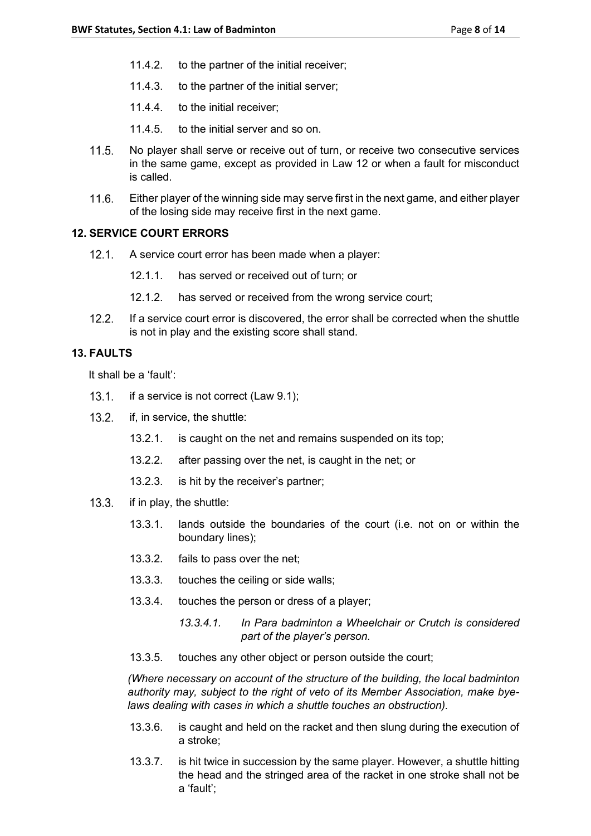- 11.4.2. to the partner of the initial receiver;
- 11.4.3. to the partner of the initial server;
- 11.4.4. to the initial receiver;
- 11.4.5. to the initial server and so on.
- $11.5.$ No player shall serve or receive out of turn, or receive two consecutive services in the same game, except as provided in Law 12 or when a fault for misconduct is called.
- $11.6.$ Either player of the winning side may serve first in the next game, and either player of the losing side may receive first in the next game.

# **12. SERVICE COURT ERRORS**

- 12.1. A service court error has been made when a player:
	- 12.1.1. has served or received out of turn; or
	- 12.1.2. has served or received from the wrong service court;
- If a service court error is discovered, the error shall be corrected when the shuttle  $122$ is not in play and the existing score shall stand.

### **13. FAULTS**

It shall be a 'fault':

- $13.1.$ if a service is not correct (Law 9.1);
- $13.2.$ if, in service, the shuttle:
	- 13.2.1. is caught on the net and remains suspended on its top;
	- 13.2.2. after passing over the net, is caught in the net; or
	- 13.2.3. is hit by the receiver's partner;
- $13.3.$ if in play, the shuttle:
	- 13.3.1. lands outside the boundaries of the court (i.e. not on or within the boundary lines);
	- 13.3.2. fails to pass over the net;
	- 13.3.3. touches the ceiling or side walls;
	- 13.3.4. touches the person or dress of a player;
		- *13.3.4.1. In Para badminton a Wheelchair or Crutch is considered part of the player's person.*
	- 13.3.5. touches any other object or person outside the court;

*(Where necessary on account of the structure of the building, the local badminton authority may, subject to the right of veto of its Member Association, make byelaws dealing with cases in which a shuttle touches an obstruction).*

- 13.3.6. is caught and held on the racket and then slung during the execution of a stroke;
- 13.3.7. is hit twice in succession by the same player. However, a shuttle hitting the head and the stringed area of the racket in one stroke shall not be a 'fault';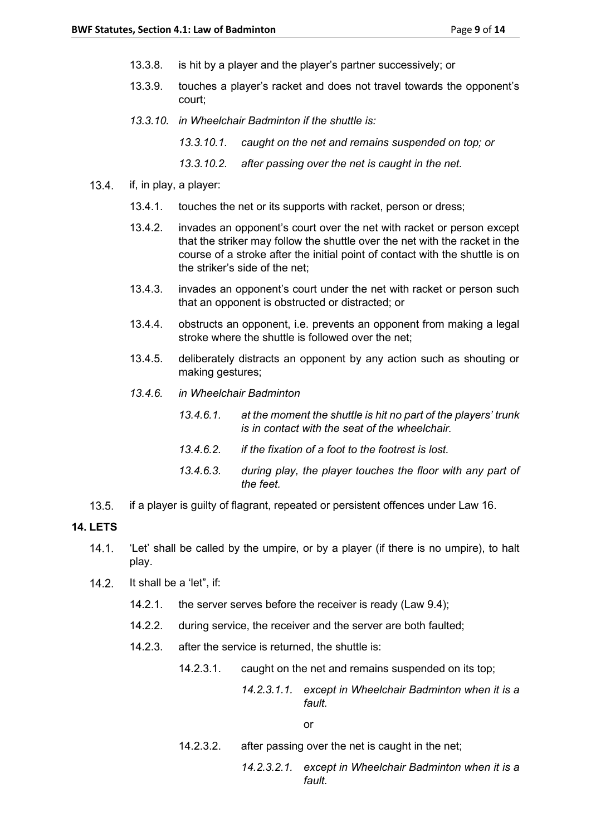- 13.3.8. is hit by a player and the player's partner successively; or
- 13.3.9. touches a player's racket and does not travel towards the opponent's court;
- *13.3.10. in Wheelchair Badminton if the shuttle is:*
	- *13.3.10.1. caught on the net and remains suspended on top; or*
	- *13.3.10.2. after passing over the net is caught in the net.*
- $13.4.$ if, in play, a player:
	- 13.4.1. touches the net or its supports with racket, person or dress;
	- 13.4.2. invades an opponent's court over the net with racket or person except that the striker may follow the shuttle over the net with the racket in the course of a stroke after the initial point of contact with the shuttle is on the striker's side of the net;
	- 13.4.3. invades an opponent's court under the net with racket or person such that an opponent is obstructed or distracted; or
	- 13.4.4. obstructs an opponent, i.e. prevents an opponent from making a legal stroke where the shuttle is followed over the net;
	- 13.4.5. deliberately distracts an opponent by any action such as shouting or making gestures;
	- *13.4.6. in Wheelchair Badminton*
		- *13.4.6.1. at the moment the shuttle is hit no part of the players' trunk is in contact with the seat of the wheelchair.*
		- *13.4.6.2. if the fixation of a foot to the footrest is lost.*
		- *13.4.6.3. during play, the player touches the floor with any part of the feet.*
- $13.5.$ if a player is guilty of flagrant, repeated or persistent offences under Law 16.

### **14. LETS**

- $14.1.$ 'Let' shall be called by the umpire, or by a player (if there is no umpire), to halt play.
- $142$ It shall be a 'let", if:
	- 14.2.1. the server serves before the receiver is ready (Law 9.4);
	- 14.2.2. during service, the receiver and the server are both faulted;
	- 14.2.3. after the service is returned, the shuttle is:
		- 14.2.3.1. caught on the net and remains suspended on its top;

*14.2.3.1.1. except in Wheelchair Badminton when it is a fault.*

or

- 14.2.3.2. after passing over the net is caught in the net;
	- *14.2.3.2.1. except in Wheelchair Badminton when it is a fault.*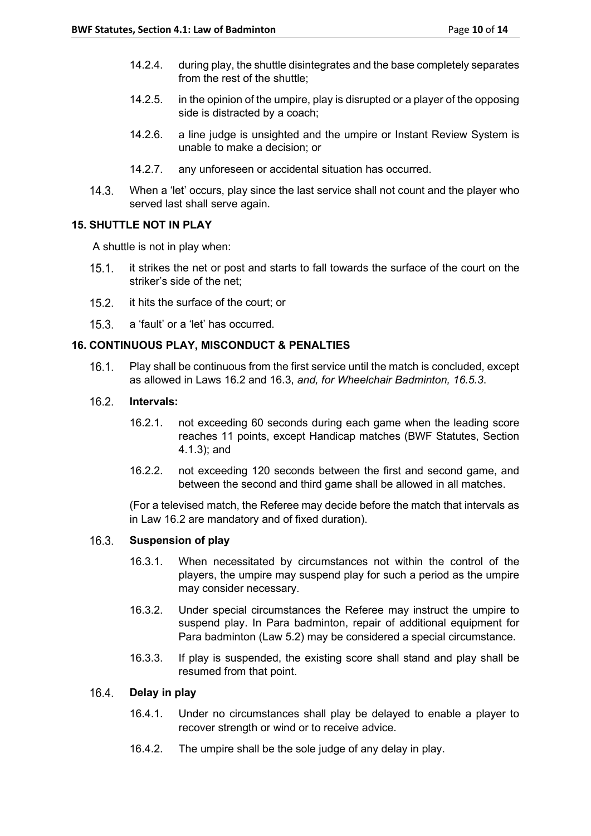- 14.2.4. during play, the shuttle disintegrates and the base completely separates from the rest of the shuttle;
- 14.2.5. in the opinion of the umpire, play is disrupted or a player of the opposing side is distracted by a coach;
- 14.2.6. a line judge is unsighted and the umpire or Instant Review System is unable to make a decision; or
- 14.2.7. any unforeseen or accidental situation has occurred.
- $14.3.$ When a 'let' occurs, play since the last service shall not count and the player who served last shall serve again.

# **15. SHUTTLE NOT IN PLAY**

A shuttle is not in play when:

- $15.1.$ it strikes the net or post and starts to fall towards the surface of the court on the striker's side of the net;
- $15.2.$ it hits the surface of the court; or
- $15.3.$ a 'fault' or a 'let' has occurred.

# **16. CONTINUOUS PLAY, MISCONDUCT & PENALTIES**

 $16.1.$ Play shall be continuous from the first service until the match is concluded, except as allowed in Laws 16.2 and 16.3, *and, for Wheelchair Badminton, 16.5.3*.

#### $16.2<sub>1</sub>$ **Intervals:**

- 16.2.1. not exceeding 60 seconds during each game when the leading score reaches 11 points, except Handicap matches (BWF Statutes, Section 4.1.3); and
- 16.2.2. not exceeding 120 seconds between the first and second game, and between the second and third game shall be allowed in all matches.

(For a televised match, the Referee may decide before the match that intervals as in Law 16.2 are mandatory and of fixed duration).

#### $16.3.$ **Suspension of play**

- 16.3.1. When necessitated by circumstances not within the control of the players, the umpire may suspend play for such a period as the umpire may consider necessary.
- 16.3.2. Under special circumstances the Referee may instruct the umpire to suspend play. In Para badminton, repair of additional equipment for Para badminton (Law 5.2) may be considered a special circumstance.
- 16.3.3. If play is suspended, the existing score shall stand and play shall be resumed from that point.

#### $16.4.$ **Delay in play**

- 16.4.1. Under no circumstances shall play be delayed to enable a player to recover strength or wind or to receive advice.
- 16.4.2. The umpire shall be the sole judge of any delay in play.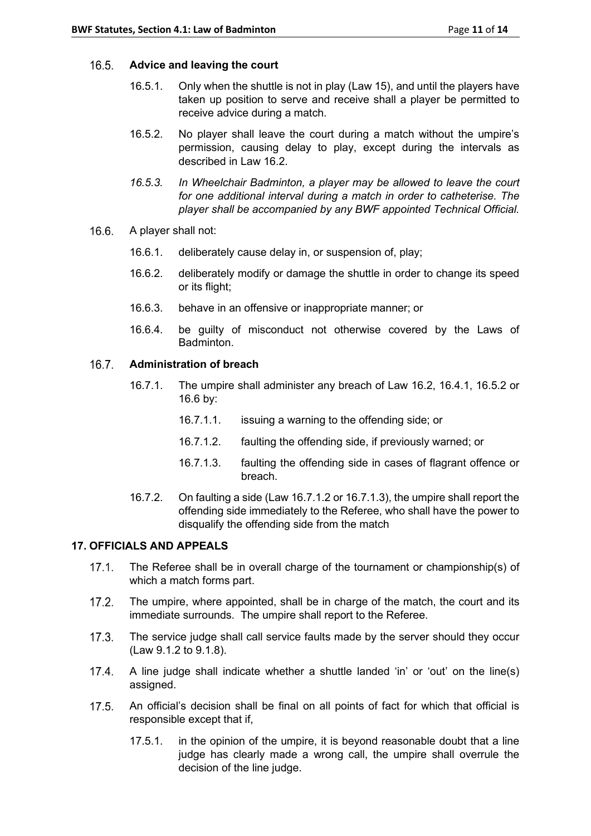#### $16.5.$ **Advice and leaving the court**

- 16.5.1. Only when the shuttle is not in play (Law 15), and until the players have taken up position to serve and receive shall a player be permitted to receive advice during a match.
- 16.5.2. No player shall leave the court during a match without the umpire's permission, causing delay to play, except during the intervals as described in Law 16.2.
- *16.5.3. In Wheelchair Badminton, a player may be allowed to leave the court for one additional interval during a match in order to catheterise. The player shall be accompanied by any BWF appointed Technical Official.*
- $16.6.$ A player shall not:
	- 16.6.1. deliberately cause delay in, or suspension of, play;
	- 16.6.2. deliberately modify or damage the shuttle in order to change its speed or its flight;
	- 16.6.3. behave in an offensive or inappropriate manner; or
	- 16.6.4. be guilty of misconduct not otherwise covered by the Laws of Badminton.

#### $16.7.$ **Administration of breach**

- 16.7.1. The umpire shall administer any breach of Law 16.2, 16.4.1, 16.5.2 or 16.6 by:
	- 16.7.1.1. issuing a warning to the offending side; or
	- 16.7.1.2. faulting the offending side, if previously warned; or
	- 16.7.1.3. faulting the offending side in cases of flagrant offence or breach.
- 16.7.2. On faulting a side (Law 16.7.1.2 or 16.7.1.3), the umpire shall report the offending side immediately to the Referee, who shall have the power to disqualify the offending side from the match

# **17. OFFICIALS AND APPEALS**

- $17.1.$ The Referee shall be in overall charge of the tournament or championship(s) of which a match forms part.
- $17.2.$ The umpire, where appointed, shall be in charge of the match, the court and its immediate surrounds. The umpire shall report to the Referee.
- $17.3.$ The service judge shall call service faults made by the server should they occur (Law 9.1.2 to 9.1.8).
- $17.4.$ A line judge shall indicate whether a shuttle landed 'in' or 'out' on the line(s) assigned.
- $17.5.$ An official's decision shall be final on all points of fact for which that official is responsible except that if,
	- 17.5.1. in the opinion of the umpire, it is beyond reasonable doubt that a line judge has clearly made a wrong call, the umpire shall overrule the decision of the line judge.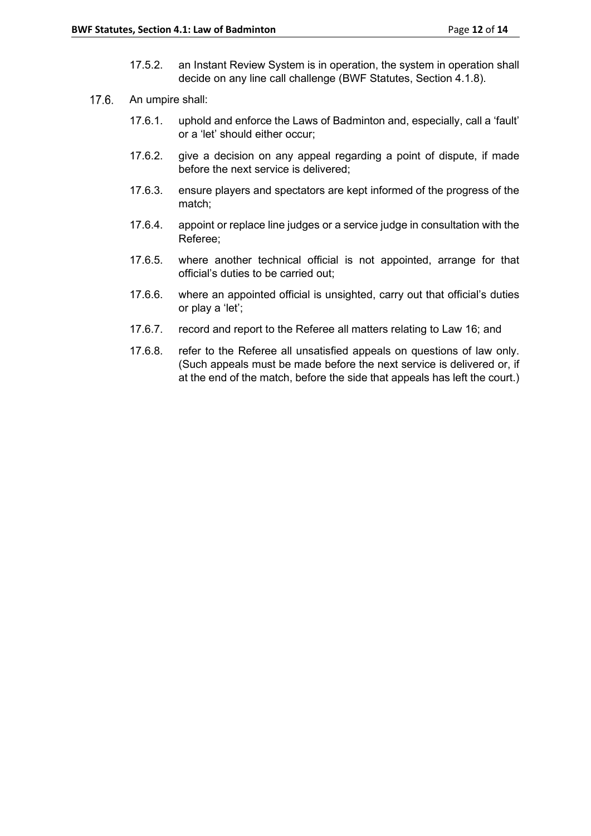- 17.5.2. an Instant Review System is in operation, the system in operation shall decide on any line call challenge (BWF Statutes, Section 4.1.8).
- $17.6.$ An umpire shall:
	- 17.6.1. uphold and enforce the Laws of Badminton and, especially, call a 'fault' or a 'let' should either occur;
	- 17.6.2. give a decision on any appeal regarding a point of dispute, if made before the next service is delivered;
	- 17.6.3. ensure players and spectators are kept informed of the progress of the match;
	- 17.6.4. appoint or replace line judges or a service judge in consultation with the Referee;
	- 17.6.5. where another technical official is not appointed, arrange for that official's duties to be carried out;
	- 17.6.6. where an appointed official is unsighted, carry out that official's duties or play a 'let';
	- 17.6.7. record and report to the Referee all matters relating to Law 16; and
	- 17.6.8. refer to the Referee all unsatisfied appeals on questions of law only. (Such appeals must be made before the next service is delivered or, if at the end of the match, before the side that appeals has left the court.)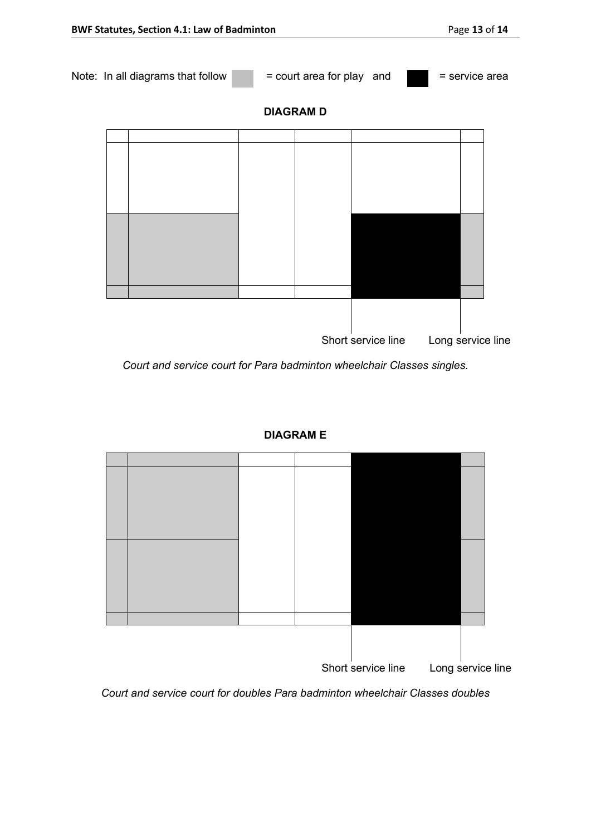

*Court and service court for Para badminton wheelchair Classes singles.*





*Court and service court for doubles Para badminton wheelchair Classes doubles*